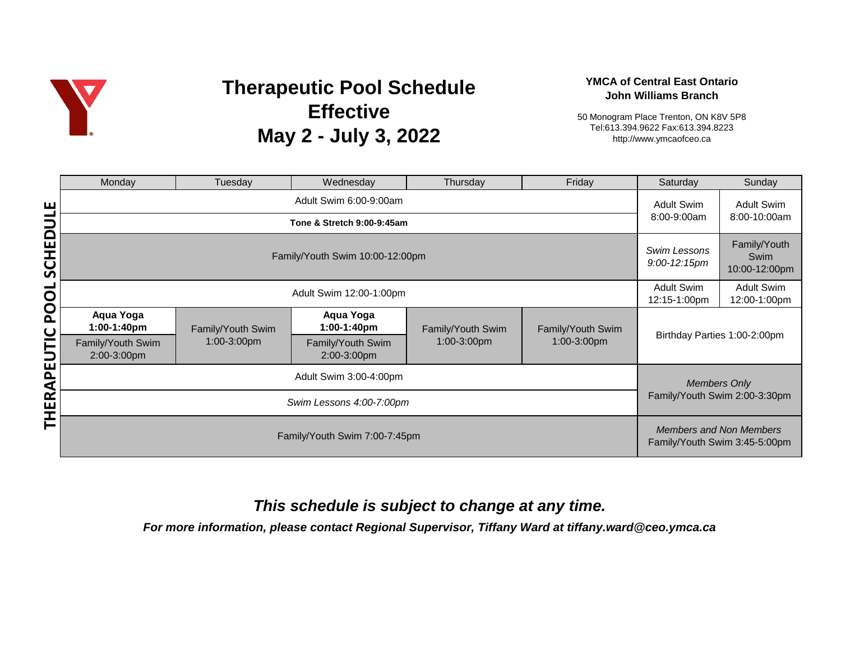

# **Therapeutic Pool Schedule Effective May 2 - July 3, 2022**

### **YMCA of Central East Ontario John Williams Branch**

50 Monogram Place Trenton, ON K8V 5P8 Tel:613.394.9622 Fax:613.394.8223 http://www.ymcaofceo.ca

|             | Monday                           | Tuesday           | Wednesday                                            | Thursday          | Friday            | Saturday                     | Sunday                                                          |  |
|-------------|----------------------------------|-------------------|------------------------------------------------------|-------------------|-------------------|------------------------------|-----------------------------------------------------------------|--|
| ш<br>┙      |                                  |                   | <b>Adult Swim</b>                                    | <b>Adult Swim</b> |                   |                              |                                                                 |  |
|             |                                  | 8:00-9:00am       | 8:00-10:00am                                         |                   |                   |                              |                                                                 |  |
| SCHEDU      | Family/Youth Swim 10:00-12:00pm  |                   |                                                      |                   |                   |                              | Family/Youth<br>Swim<br>10:00-12:00pm                           |  |
| $\mathbf O$ | Adult Swim 12:00-1:00pm          |                   |                                                      |                   |                   |                              | <b>Adult Swim</b><br>12:00-1:00pm                               |  |
| Q<br>Q      | Aqua Yoga<br>1:00-1:40pm         | Family/Youth Swim | Aqua Yoga<br>1:00-1:40pm                             | Family/Youth Swim | Family/Youth Swim | Birthday Parties 1:00-2:00pm |                                                                 |  |
| UTIC        | Family/Youth Swim<br>2:00-3:00pm | 1:00-3:00pm       | Family/Youth Swim<br>2:00-3:00pm                     | 1:00-3:00pm       | 1:00-3:00pm       |                              |                                                                 |  |
| Щ<br>RAPI   |                                  |                   | <b>Members Only</b><br>Family/Youth Swim 2:00-3:30pm |                   |                   |                              |                                                                 |  |
| 臣王          |                                  |                   |                                                      |                   |                   |                              |                                                                 |  |
|             | Family/Youth Swim 7:00-7:45pm    |                   |                                                      |                   |                   |                              | <b>Members and Non Members</b><br>Family/Youth Swim 3:45-5:00pm |  |

## *This schedule is subject to change at any time.*

*For more information, please contact Regional Supervisor, Tiffany Ward at tiffany.ward@ceo.ymca.ca*